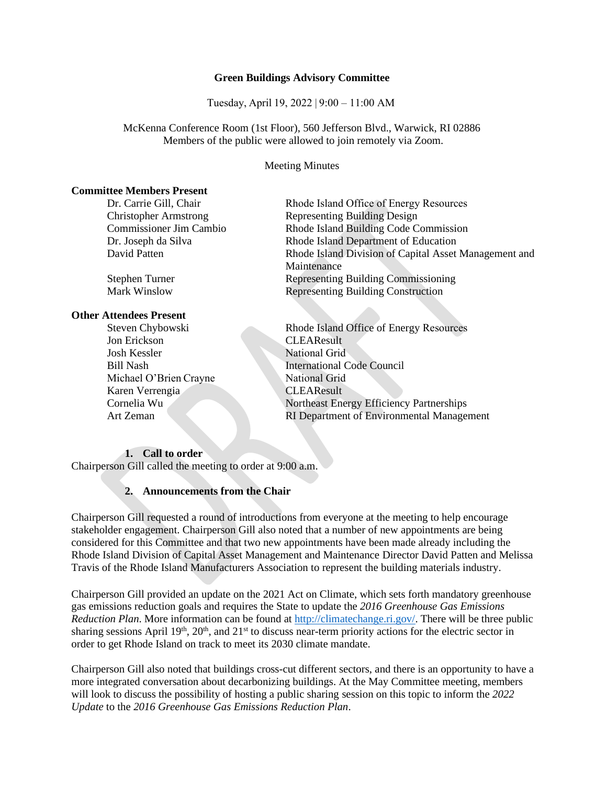### **Green Buildings Advisory Committee**

Tuesday, April 19, 2022 | 9:00 – 11:00 AM 

McKenna Conference Room (1st Floor), 560 Jefferson Blvd., Warwick, RI 02886 Members of the public were allowed to join remotely via Zoom.

Meeting Minutes

## **Committee Members Present**

#### **Other Attendees Present**

Jon Erickson CLEAResult Josh Kessler National Grid Michael O'Brien Crayne National Grid Karen Verrengia CLEAResult

Dr. Carrie Gill, Chair Rhode Island Office of Energy Resources Christopher Armstrong Representing Building Design Commissioner Jim Cambio Rhode Island Building Code Commission Dr. Joseph da Silva Rhode Island Department of Education David Patten Rhode Island Division of Capital Asset Management and Maintenance Stephen Turner Representing Building Commissioning Mark Winslow Representing Building Construction

Steven Chybowski Rhode Island Office of Energy Resources Bill Nash International Code Council Cornelia Wu Northeast Energy Efficiency Partnerships Art Zeman RI Department of Environmental Management

### **1. Call to order**

Chairperson Gill called the meeting to order at 9:00 a.m.

## **2. Announcements from the Chair**

Chairperson Gill requested a round of introductions from everyone at the meeting to help encourage stakeholder engagement. Chairperson Gill also noted that a number of new appointments are being considered for this Committee and that two new appointments have been made already including the Rhode Island Division of Capital Asset Management and Maintenance Director David Patten and Melissa Travis of the Rhode Island Manufacturers Association to represent the building materials industry.

Chairperson Gill provided an update on the 2021 Act on Climate, which sets forth mandatory greenhouse gas emissions reduction goals and requires the State to update the *2016 Greenhouse Gas Emissions Reduction Plan*. More information can be found at [http://climatechange.ri.gov/.](http://climatechange.ri.gov/) There will be three public sharing sessions April 19<sup>th</sup>, 20<sup>th</sup>, and 21<sup>st</sup> to discuss near-term priority actions for the electric sector in order to get Rhode Island on track to meet its 2030 climate mandate.

Chairperson Gill also noted that buildings cross-cut different sectors, and there is an opportunity to have a more integrated conversation about decarbonizing buildings. At the May Committee meeting, members will look to discuss the possibility of hosting a public sharing session on this topic to inform the *2022 Update* to the *2016 Greenhouse Gas Emissions Reduction Plan*.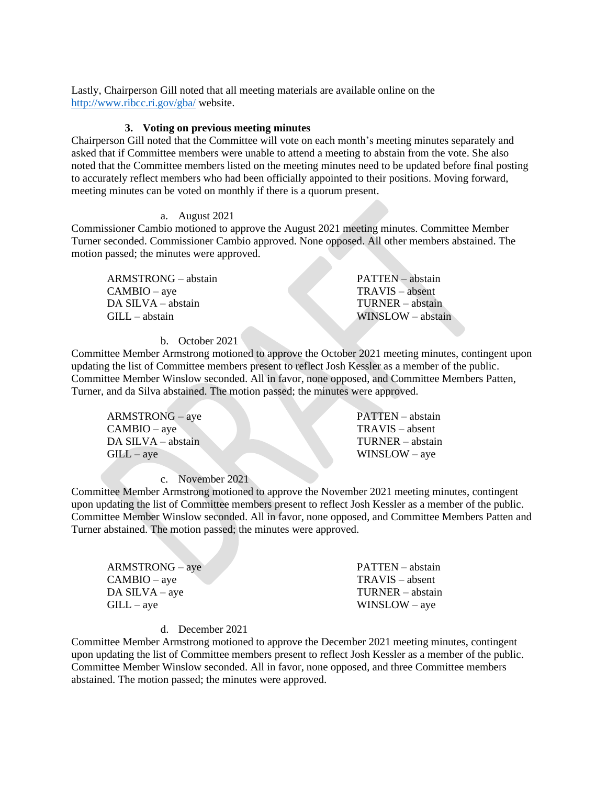Lastly, Chairperson Gill noted that all meeting materials are available online on the <http://www.ribcc.ri.gov/gba/> website.

#### **3. Voting on previous meeting minutes**

Chairperson Gill noted that the Committee will vote on each month's meeting minutes separately and asked that if Committee members were unable to attend a meeting to abstain from the vote. She also noted that the Committee members listed on the meeting minutes need to be updated before final posting to accurately reflect members who had been officially appointed to their positions. Moving forward, meeting minutes can be voted on monthly if there is a quorum present.

## a. August 2021

Commissioner Cambio motioned to approve the August 2021 meeting minutes. Committee Member Turner seconded. Commissioner Cambio approved. None opposed. All other members abstained. The motion passed; the minutes were approved.

ARMSTRONG – abstain CAMBIO – aye DA SILVA – abstain GILL – abstain

PATTEN – abstain TRAVIS – absent TURNER – abstain WINSLOW – abstain

### b. October 2021

Committee Member Armstrong motioned to approve the October 2021 meeting minutes, contingent upon updating the list of Committee members present to reflect Josh Kessler as a member of the public. Committee Member Winslow seconded. All in favor, none opposed, and Committee Members Patten, Turner, and da Silva abstained. The motion passed; the minutes were approved.

ARMSTRONG – aye  $CAMBIO - ave$ DA SILVA – abstain  $GILL - ave$ 

PATTEN – abstain TRAVIS – absent TURNER – abstain WINSLOW – aye

c. November 2021

Committee Member Armstrong motioned to approve the November 2021 meeting minutes, contingent upon updating the list of Committee members present to reflect Josh Kessler as a member of the public. Committee Member Winslow seconded. All in favor, none opposed, and Committee Members Patten and Turner abstained. The motion passed; the minutes were approved.

| $ARMSTRONG - aye$ | PATTEN – abstain  |
|-------------------|-------------------|
| $CAMBIO - ave$    | $TRAVIS - absent$ |
| $DA$ SILVA – aye  | TURNER – abstain  |
| $GILL - ave$      | $WINSLOW - ave$   |

#### d. December 2021

Committee Member Armstrong motioned to approve the December 2021 meeting minutes, contingent upon updating the list of Committee members present to reflect Josh Kessler as a member of the public. Committee Member Winslow seconded. All in favor, none opposed, and three Committee members abstained. The motion passed; the minutes were approved.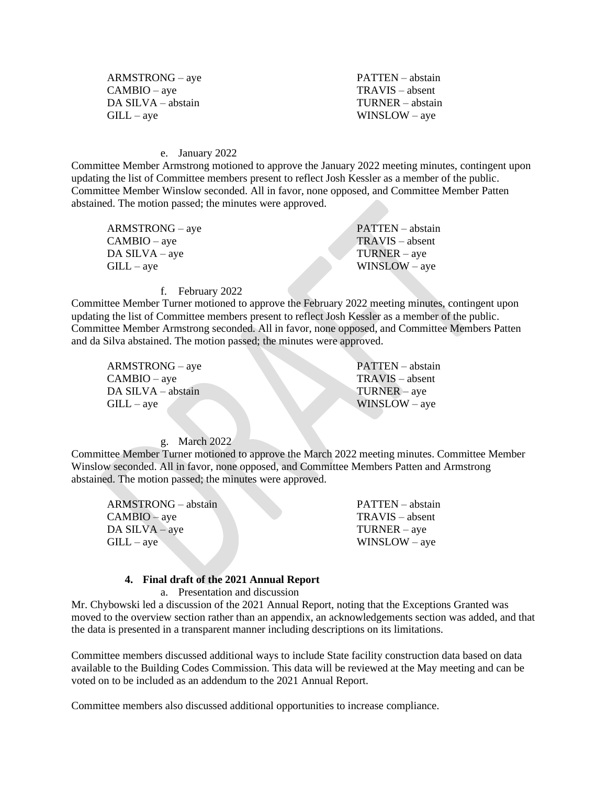| $ARMSTRONG - ave$  |
|--------------------|
| $CAMBIO - aye$     |
| DA SILVA - abstain |
| $GILL - aye$       |

PATTEN – abstain TRAVIS – absent TURNER – abstain WINSLOW – aye

#### e. January 2022

Committee Member Armstrong motioned to approve the January 2022 meeting minutes, contingent upon updating the list of Committee members present to reflect Josh Kessler as a member of the public. Committee Member Winslow seconded. All in favor, none opposed, and Committee Member Patten abstained. The motion passed; the minutes were approved.

| $ARMSTRONG - ave$ | PATTEN – abstain  |
|-------------------|-------------------|
| $CAMBIO - aye$    | $TRAVIS - absent$ |
| $DA$ SILVA – aye  | $TURNER - ave$    |
| $GILL - ave$      | $WINSLOW - ave$   |
|                   |                   |

#### f. February 2022

Committee Member Turner motioned to approve the February 2022 meeting minutes, contingent upon updating the list of Committee members present to reflect Josh Kessler as a member of the public. Committee Member Armstrong seconded. All in favor, none opposed, and Committee Members Patten and da Silva abstained. The motion passed; the minutes were approved.

ARMSTRONG – aye CAMBIO – aye DA SILVA – abstain  $GILL - ave$ 

PATTEN – abstain TRAVIS – absent TURNER – aye WINSLOW – aye

#### g. March 2022

Committee Member Turner motioned to approve the March 2022 meeting minutes. Committee Member Winslow seconded. All in favor, none opposed, and Committee Members Patten and Armstrong abstained. The motion passed; the minutes were approved.

ARMSTRONG – abstain CAMBIO – aye DA SILVA – aye  $GILL - ave$ 

PATTEN – abstain TRAVIS – absent TURNER – aye WINSLOW – aye

### **4. Final draft of the 2021 Annual Report**

a. Presentation and discussion

Mr. Chybowski led a discussion of the 2021 Annual Report, noting that the Exceptions Granted was moved to the overview section rather than an appendix, an acknowledgements section was added, and that the data is presented in a transparent manner including descriptions on its limitations.

Committee members discussed additional ways to include State facility construction data based on data available to the Building Codes Commission. This data will be reviewed at the May meeting and can be voted on to be included as an addendum to the 2021 Annual Report.

Committee members also discussed additional opportunities to increase compliance.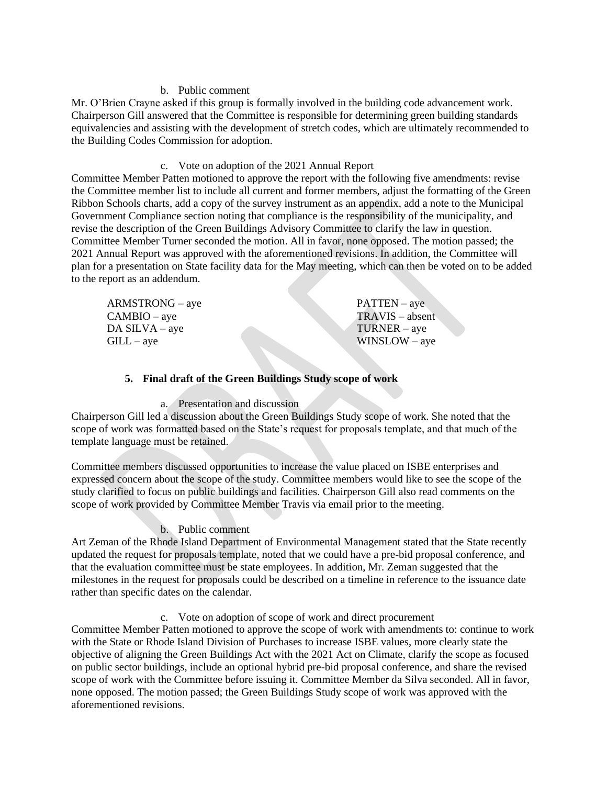## b. Public comment

Mr. O'Brien Crayne asked if this group is formally involved in the building code advancement work. Chairperson Gill answered that the Committee is responsible for determining green building standards equivalencies and assisting with the development of stretch codes, which are ultimately recommended to the Building Codes Commission for adoption.

## c. Vote on adoption of the 2021 Annual Report

Committee Member Patten motioned to approve the report with the following five amendments: revise the Committee member list to include all current and former members, adjust the formatting of the Green Ribbon Schools charts, add a copy of the survey instrument as an appendix, add a note to the Municipal Government Compliance section noting that compliance is the responsibility of the municipality, and revise the description of the Green Buildings Advisory Committee to clarify the law in question. Committee Member Turner seconded the motion. All in favor, none opposed. The motion passed; the 2021 Annual Report was approved with the aforementioned revisions. In addition, the Committee will plan for a presentation on State facility data for the May meeting, which can then be voted on to be added to the report as an addendum.

| $ARMSTRONG - aye$ | $PATTEN - ave$   |
|-------------------|------------------|
| $CAMBIO - aye$    | $TRANS - absent$ |
| $DA$ SILVA – aye  | $TURNER - ave$   |
| $GILL - ave$      | $WINSLOW - ave$  |

# **5. Final draft of the Green Buildings Study scope of work**

# a. Presentation and discussion

Chairperson Gill led a discussion about the Green Buildings Study scope of work. She noted that the scope of work was formatted based on the State's request for proposals template, and that much of the template language must be retained.

Committee members discussed opportunities to increase the value placed on ISBE enterprises and expressed concern about the scope of the study. Committee members would like to see the scope of the study clarified to focus on public buildings and facilities. Chairperson Gill also read comments on the scope of work provided by Committee Member Travis via email prior to the meeting.

# b. Public comment

Art Zeman of the Rhode Island Department of Environmental Management stated that the State recently updated the request for proposals template, noted that we could have a pre-bid proposal conference, and that the evaluation committee must be state employees. In addition, Mr. Zeman suggested that the milestones in the request for proposals could be described on a timeline in reference to the issuance date rather than specific dates on the calendar.

c. Vote on adoption of scope of work and direct procurement

Committee Member Patten motioned to approve the scope of work with amendments to: continue to work with the State or Rhode Island Division of Purchases to increase ISBE values, more clearly state the objective of aligning the Green Buildings Act with the 2021 Act on Climate, clarify the scope as focused on public sector buildings, include an optional hybrid pre-bid proposal conference, and share the revised scope of work with the Committee before issuing it. Committee Member da Silva seconded. All in favor, none opposed. The motion passed; the Green Buildings Study scope of work was approved with the aforementioned revisions.